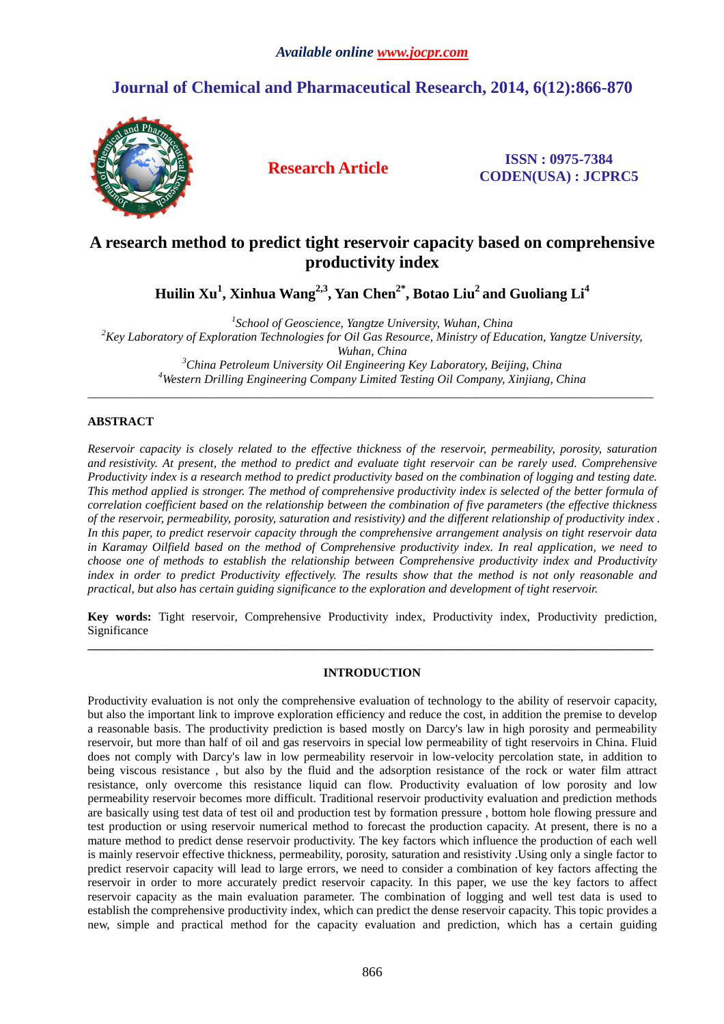# **Journal of Chemical and Pharmaceutical Research, 2014, 6(12):866-870**



**Research Article ISSN : 0975-7384 CODEN(USA) : JCPRC5**

## **A research method to predict tight reservoir capacity based on comprehensive productivity index**

**Huilin Xu<sup>1</sup> , Xinhua Wang2,3, Yan Chen2\*, Botao Liu<sup>2</sup>and Guoliang Li<sup>4</sup>**

*1 School of Geoscience, Yangtze University, Wuhan, China* 

*<sup>2</sup>Key Laboratory of Exploration Technologies for Oil Gas Resource, Ministry of Education, Yangtze University,* 

*Wuhan, China* 

*<sup>3</sup>China Petroleum University Oil Engineering Key Laboratory, Beijing, China <sup>4</sup>Western Drilling Engineering Company Limited Testing Oil Company, Xinjiang, China*  \_\_\_\_\_\_\_\_\_\_\_\_\_\_\_\_\_\_\_\_\_\_\_\_\_\_\_\_\_\_\_\_\_\_\_\_\_\_\_\_\_\_\_\_\_\_\_\_\_\_\_\_\_\_\_\_\_\_\_\_\_\_\_\_\_\_\_\_\_\_\_\_\_\_\_\_\_\_\_\_\_\_\_\_\_\_\_\_\_\_\_\_\_

## **ABSTRACT**

*Reservoir capacity is closely related to the effective thickness of the reservoir, permeability, porosity, saturation and resistivity. At present, the method to predict and evaluate tight reservoir can be rarely used. Comprehensive Productivity index is a research method to predict productivity based on the combination of logging and testing date. This method applied is stronger. The method of comprehensive productivity index is selected of the better formula of correlation coefficient based on the relationship between the combination of five parameters (the effective thickness of the reservoir, permeability, porosity, saturation and resistivity) and the different relationship of productivity index . In this paper, to predict reservoir capacity through the comprehensive arrangement analysis on tight reservoir data in Karamay Oilfield based on the method of Comprehensive productivity index. In real application, we need to choose one of methods to establish the relationship between Comprehensive productivity index and Productivity index in order to predict Productivity effectively. The results show that the method is not only reasonable and practical, but also has certain guiding significance to the exploration and development of tight reservoir.*

**Key words:** Tight reservoir, Comprehensive Productivity index, Productivity index, Productivity prediction, Significance **\_\_\_\_\_\_\_\_\_\_\_\_\_\_\_\_\_\_\_\_\_\_\_\_\_\_\_\_\_\_\_\_\_\_\_\_\_\_\_\_\_\_\_\_\_\_\_\_\_\_\_\_\_\_\_\_\_\_\_\_\_\_\_\_\_\_\_\_\_\_\_\_\_\_\_\_\_\_\_\_\_\_\_\_\_\_\_\_\_\_\_\_\_** 

### **INTRODUCTION**

Productivity evaluation is not only the comprehensive evaluation of technology to the ability of reservoir capacity, but also the important link to improve exploration efficiency and reduce the cost, in addition the premise to develop a reasonable basis. The productivity prediction is based mostly on Darcy's law in high porosity and permeability reservoir, but more than half of oil and gas reservoirs in special low permeability of tight reservoirs in China. Fluid does not comply with Darcy's law in low permeability reservoir in low-velocity percolation state, in addition to being viscous resistance , but also by the fluid and the adsorption resistance of the rock or water film attract resistance, only overcome this resistance liquid can flow. Productivity evaluation of low porosity and low permeability reservoir becomes more difficult. Traditional reservoir productivity evaluation and prediction methods are basically using test data of test oil and production test by formation pressure , bottom hole flowing pressure and test production or using reservoir numerical method to forecast the production capacity. At present, there is no a mature method to predict dense reservoir productivity. The key factors which influence the production of each well is mainly reservoir effective thickness, permeability, porosity, saturation and resistivity .Using only a single factor to predict reservoir capacity will lead to large errors, we need to consider a combination of key factors affecting the reservoir in order to more accurately predict reservoir capacity. In this paper, we use the key factors to affect reservoir capacity as the main evaluation parameter. The combination of logging and well test data is used to establish the comprehensive productivity index, which can predict the dense reservoir capacity. This topic provides a new, simple and practical method for the capacity evaluation and prediction, which has a certain guiding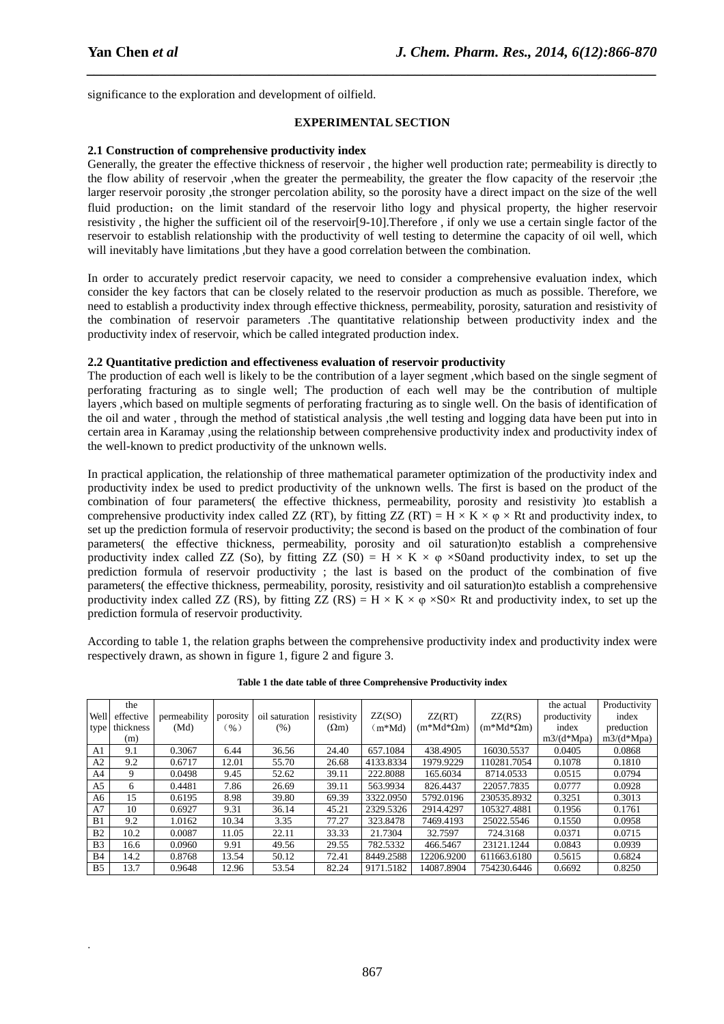.

significance to the exploration and development of oilfield.

#### **EXPERIMENTAL SECTION**

*\_\_\_\_\_\_\_\_\_\_\_\_\_\_\_\_\_\_\_\_\_\_\_\_\_\_\_\_\_\_\_\_\_\_\_\_\_\_\_\_\_\_\_\_\_\_\_\_\_\_\_\_\_\_\_\_\_\_\_\_\_\_\_\_\_\_\_\_\_\_\_\_\_\_\_\_\_\_*

#### **2.1 Construction of comprehensive productivity index**

Generally, the greater the effective thickness of reservoir , the higher well production rate; permeability is directly to the flow ability of reservoir ,when the greater the permeability, the greater the flow capacity of the reservoir ;the larger reservoir porosity ,the stronger percolation ability, so the porosity have a direct impact on the size of the well fluid production; on the limit standard of the reservoir litho logy and physical property, the higher reservoir resistivity , the higher the sufficient oil of the reservoir[9-10].Therefore , if only we use a certain single factor of the reservoir to establish relationship with the productivity of well testing to determine the capacity of oil well, which will inevitably have limitations, but they have a good correlation between the combination.

In order to accurately predict reservoir capacity, we need to consider a comprehensive evaluation index, which consider the key factors that can be closely related to the reservoir production as much as possible. Therefore, we need to establish a productivity index through effective thickness, permeability, porosity, saturation and resistivity of the combination of reservoir parameters .The quantitative relationship between productivity index and the productivity index of reservoir, which be called integrated production index.

#### **2.2 Quantitative prediction and effectiveness evaluation of reservoir productivity**

The production of each well is likely to be the contribution of a layer segment ,which based on the single segment of perforating fracturing as to single well; The production of each well may be the contribution of multiple layers ,which based on multiple segments of perforating fracturing as to single well. On the basis of identification of the oil and water , through the method of statistical analysis ,the well testing and logging data have been put into in certain area in Karamay ,using the relationship between comprehensive productivity index and productivity index of the well-known to predict productivity of the unknown wells.

In practical application, the relationship of three mathematical parameter optimization of the productivity index and productivity index be used to predict productivity of the unknown wells. The first is based on the product of the combination of four parameters( the effective thickness, permeability, porosity and resistivity )to establish a comprehensive productivity index called ZZ (RT), by fitting ZZ (RT) = H  $\times$  K  $\times$   $\omega \times$  Rt and productivity index, to set up the prediction formula of reservoir productivity; the second is based on the product of the combination of four parameters( the effective thickness, permeability, porosity and oil saturation)to establish a comprehensive productivity index called ZZ (So), by fitting ZZ (S0) = H  $\times$  K  $\times$   $\varphi$   $\times$ S0and productivity index, to set up the prediction formula of reservoir productivity ; the last is based on the product of the combination of five parameters( the effective thickness, permeability, porosity, resistivity and oil saturation)to establish a comprehensive productivity index called ZZ (RS), by fitting ZZ (RS) = H  $\times$  K  $\times$   $\omega$   $\times$ S0 $\times$  Rt and productivity index, to set up the prediction formula of reservoir productivity.

According to table 1, the relation graphs between the comprehensive productivity index and productivity index were respectively drawn, as shown in figure 1, figure 2 and figure 3.

|                | the       |              |          |                |              |           |                     |                     | the actual   | Productivity |
|----------------|-----------|--------------|----------|----------------|--------------|-----------|---------------------|---------------------|--------------|--------------|
| Well           | effective | permeability | porosity | oil saturation | resistivity  | ZZ(SO)    | ZZ(RT)              | ZZ(RS)              | productivity | index        |
| type           | thickness | (Md)         | (% )     | (% )           | $(\Omega m)$ | $(m*Md)$  | $(m^*Md^*\Omega m)$ | $(m^*Md^*\Omega m)$ | index        | preduction   |
|                | (m)       |              |          |                |              |           |                     |                     | $m3/(d*Mpa)$ | $m3/(d*Mpa)$ |
| A <sub>1</sub> | 9.1       | 0.3067       | 6.44     | 36.56          | 24.40        | 657.1084  | 438.4905            | 16030.5537          | 0.0405       | 0.0868       |
| A2             | 9.2       | 0.6717       | 12.01    | 55.70          | 26.68        | 4133.8334 | 1979.9229           | 110281.7054         | 0.1078       | 0.1810       |
| A4             | 9         | 0.0498       | 9.45     | 52.62          | 39.11        | 222.8088  | 165.6034            | 8714.0533           | 0.0515       | 0.0794       |
| A <sub>5</sub> | 6         | 0.4481       | 7.86     | 26.69          | 39.11        | 563.9934  | 826.4437            | 22057.7835          | 0.0777       | 0.0928       |
| A6             | 15        | 0.6195       | 8.98     | 39.80          | 69.39        | 3322.0950 | 5792.0196           | 230535.8932         | 0.3251       | 0.3013       |
| A7             | 10        | 0.6927       | 9.31     | 36.14          | 45.21        | 2329.5326 | 2914.4297           | 105327.4881         | 0.1956       | 0.1761       |
| B1             | 9.2       | 1.0162       | 10.34    | 3.35           | 77.27        | 323.8478  | 7469.4193           | 25022.5546          | 0.1550       | 0.0958       |
| B <sub>2</sub> | 10.2      | 0.0087       | 11.05    | 22.11          | 33.33        | 21.7304   | 32.7597             | 724.3168            | 0.0371       | 0.0715       |
| B <sub>3</sub> | 16.6      | 0.0960       | 9.91     | 49.56          | 29.55        | 782.5332  | 466.5467            | 23121.1244          | 0.0843       | 0.0939       |
| B <sub>4</sub> | 14.2      | 0.8768       | 13.54    | 50.12          | 72.41        | 8449.2588 | 12206.9200          | 611663.6180         | 0.5615       | 0.6824       |
| B <sub>5</sub> | 13.7      | 0.9648       | 12.96    | 53.54          | 82.24        | 9171.5182 | 14087.8904          | 754230.6446         | 0.6692       | 0.8250       |

**Table 1 the date table of three Comprehensive Productivity index**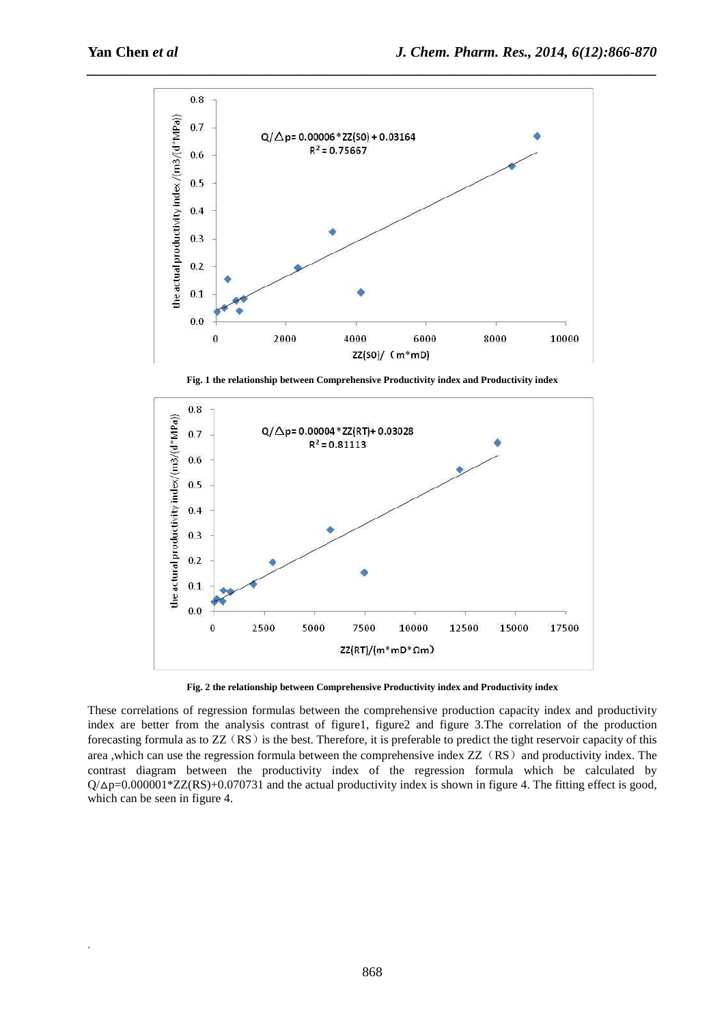.



**Fig. 1 the relationship between Comprehensive Productivity index and Productivity index** 



**Fig. 2 the relationship between Comprehensive Productivity index and Productivity index** 

These correlations of regression formulas between the comprehensive production capacity index and productivity index are better from the analysis contrast of figure1, figure2 and figure 3.The correlation of the production forecasting formula as to  $ZZ(RS)$  is the best. Therefore, it is preferable to predict the tight reservoir capacity of this area ,which can use the regression formula between the comprehensive index ZZ (RS) and productivity index. The contrast diagram between the productivity index of the regression formula which be calculated by  $Q/\Delta p = 0.000001 * ZZ(RS) + 0.070731$  and the actual productivity index is shown in figure 4. The fitting effect is good, which can be seen in figure 4.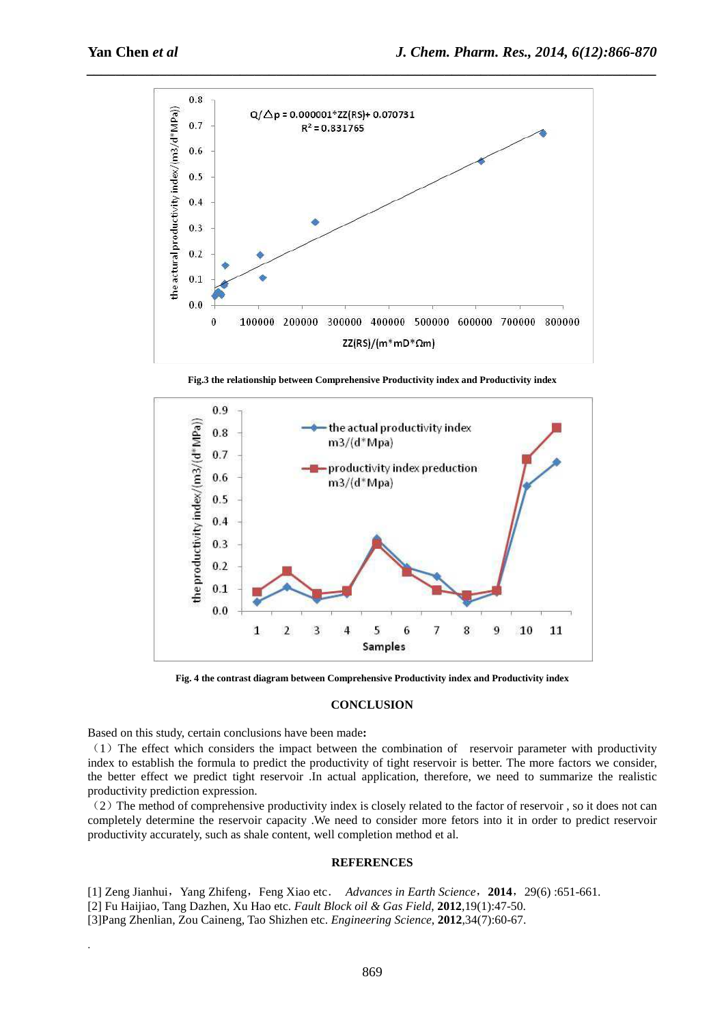

**Fig.3 the relationship between Comprehensive Productivity index and Productivity index** 



**Fig. 4 the contrast diagram between Comprehensive Productivity index and Productivity index** 

#### **CONCLUSION**

Based on this study, certain conclusions have been made**:**

.

(1)The effect which considers the impact between the combination of reservoir parameter with productivity index to establish the formula to predict the productivity of tight reservoir is better. The more factors we consider, the better effect we predict tight reservoir .In actual application, therefore, we need to summarize the realistic productivity prediction expression.

 $(2)$  The method of comprehensive productivity index is closely related to the factor of reservoir, so it does not can completely determine the reservoir capacity .We need to consider more fetors into it in order to predict reservoir productivity accurately, such as shale content, well completion method et al.

#### **REFERENCES**

[1] Zeng Jianhui,Yang Zhifeng,Feng Xiao etc. *Advances in Earth Science*,**2014**,29(6) :651-661. [2] Fu Haijiao, Tang Dazhen, Xu Hao etc. *Fault Block oil & Gas Field*, **2012**,19(1):47-50.

[3]Pang Zhenlian, Zou Caineng, Tao Shizhen etc. *Engineering Science*, **2012**,34(7):60-67.